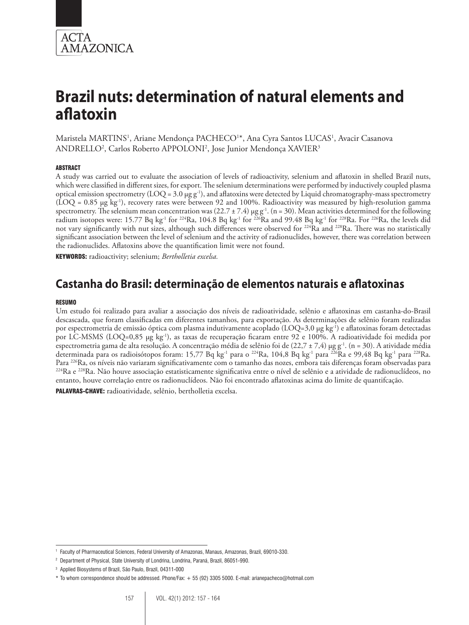

# **Brazil nuts: determination of natural elements and aflatoxin**

Maristela MARTINS<sup>1</sup>, Ariane Mendonça PACHECO<sup>1\*</sup>, Ana Cyra Santos LUCAS<sup>1</sup>, Avacir Casanova ANDRELLO2 , Carlos Roberto APPOLONI2 , Jose Junior Mendonça XAVIER3

#### **ABSTRACT**

A study was carried out to evaluate the association of levels of radioactivity, selenium and aflatoxin in shelled Brazil nuts, which were classified in different sizes, for export. The selenium determinations were performed by inductively coupled plasma optical emission spectrometry (LOQ = 3.0 µg g-1), and aflatoxins were detected by Liquid chromatography-mass spectrometry  $(LOQ = 0.85 \mu g kg^{-1})$ , recovery rates were between 92 and 100%. Radioactivity was measured by high-resolution gamma spectrometry. The selenium mean concentration was (22.7 ± 7.4)  $\mu$ g g<sup>-1</sup>. (n = 30). Mean activities determined for the following radium isotopes were: 15.77 Bq kg<sup>-1</sup> for <sup>224</sup>Ra, 104.8 Bq kg<sup>-1</sup> for <sup>226</sup>Ra and 99.48 Bq kg<sup>-1</sup> for <sup>228</sup>Ra. For <sup>226</sup>Ra, the levels did not vary significantly with nut sizes, although such differences were observed for <sup>224</sup>Ra and <sup>228</sup>Ra. There was no statistically significant association between the level of selenium and the activity of radionuclides, however, there was correlation between the radionuclides. Aflatoxins above the quantification limit were not found.

Keywords: radioactivity; selenium; *Bertholletia excelsa.*

# **Castanha do Brasil: determinação de elementos naturais e aflatoxinas**

#### RESUMO

Um estudo foi realizado para avaliar a associação dos níveis de radioatividade, selênio e aflatoxinas em castanha-do-Brasil descascada, que foram classificadas em diferentes tamanhos, para exportação. As determinações de selênio foram realizadas por espectrometria de emissão óptica com plasma indutivamente acoplado (LOQ=3,0 µg kg<sup>-1</sup>) e aflatoxinas foram detectadas por LC-MSMS (LOQ=0,85 µg kg-1), as taxas de recuperação ficaram entre 92 e 100%. A radioatividade foi medida por espectrometria gama de alta resolução. A concentração média de selênio foi de (22,7 ± 7,4) µg g<sup>-1</sup>. (n = 30). A atividade média determinada para os radioisótopos foram: 15,77 Bq kg<sup>-1</sup> para o <sup>224</sup>Ra, 104,8 Bq kg<sup>-1</sup> para <sup>226</sup>Ra e 99,48 Bq kg<sup>-1</sup> para <sup>228</sup>Ra.<br>Para <sup>226</sup>Ra, os níveis não variaram significativamente com o tamanho das nozes, embora <sup>224</sup>Ra e <sup>228</sup>Ra. Não houve associação estatisticamente significativa entre o nível de selênio e a atividade de radionuclídeos, no entanto, houve correlação entre os radionuclídeos. Não foi encontrado aflatoxinas acima do limite de quantifcação.

PALAVRAS-CHAVE: radioatividade, selênio, bertholletia excelsa.

<sup>1</sup> Faculty of Pharmaceutical Sciences, Federal University of Amazonas, Manaus, Amazonas, Brazil, 69010-330.

<sup>&</sup>lt;sup>2</sup> Department of Physical, State University of Londrina, Londrina, Paraná, Brazil, 86051-990.

<sup>3</sup> Applied Biosystems of Brazil, São Paulo, Brazil, 04311-000

<sup>\*</sup> To whom correspondence should be addressed. Phone/Fax: + 55 (92) 3305 5000. E-mail: arianepacheco@hotmail.com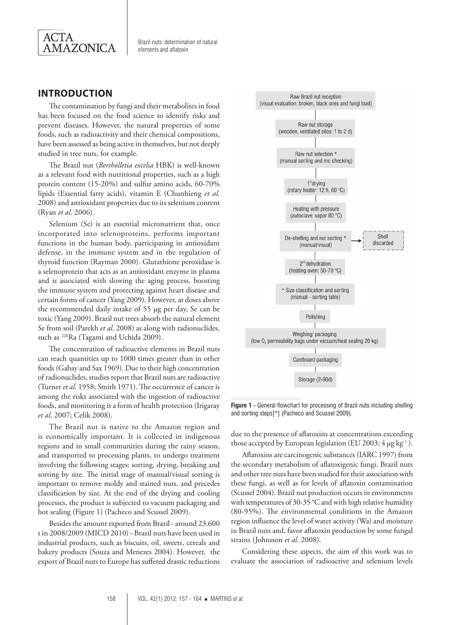

Brazil nuts: determination of natural elements and aflatoxin

# **Introduction**

The contamination by fungi and their metabolites in food has been focused on the food science to identify risks and prevent diseases. However, the natural properties of some foods, such as radioactivity and their chemical compositions, have been assessed as being active in themselves, but not deeply studied in tree nuts, for example.

The Brazil nut (*Bertholletia excelsa* HBK) is well-known as a relevant food with nutritional properties, such as a high protein content (15-20%) and sulfur amino acids, 60-70% lipids (Essential fatty acids), vitamin E (Chunhieng *et al*. 2008) and antioxidant properties due to its selenium content (Ryan *et al*. 2006).

Selenium (Se) is an essential micronutrient that, once incorporated into selenoproteins, performs important functions in the human body, participating in antioxidant defense, in the immune system and in the regulation of thyroid function (Rayman 2000). Glutathione peroxidase is a selenoprotein that acts as an antioxidant enzyme in plasma and is associated with slowing the aging process, boosting the immune system and protecting against heart disease and certain forms of cancer (Yang 2009). However, at doses above the recommended daily intake of 55 µg per day, Se can be toxic (Yang 2009). Brazil nut trees absorb the natural element Se from soil (Parekh *et al*. 2008) as along with radionuclides, such as 226Ra (Tagami and Uchida 2009).

The concentration of radioactive elements in Brazil nuts can reach quantities up to 1000 times greater than in other foods (Gabay and Sax 1969). Due to their high concentration of radionuclides, studies report that Brazil nuts are radioactive (Turner *et al*. 1958; Smith 1971). The occurrence of cancer is among the risks associated with the ingestion of radioactive foods, and monitoring is a form of health protection (Irigaray *et al*. 2007; Celik 2008).

The Brazil nut is native to the Amazon region and is economically important. It is collected in indigenous regions and in small communities during the rainy season, and transported to processing plants, to undergo treatment involving the following stages: sorting, drying, breaking and sorting by size. The initial stage of manual/visual sorting is important to remove moldy and stained nuts, and precedes classification by size. At the end of the drying and cooling processes, the product is subjected to vacuum packaging and hot sealing (Figure 1) (Pacheco and Scussel 2009).

Besides the amount exported from Brazil - around 23.600 t in 2008/2009 (MICD 2010) - Brazil nuts have been used in industrial products, such as biscuits, oil, sweets, cereals and bakery products (Souza and Menezes 2004). However, the export of Brazil nuts to Europe has suffered drastic reductions



**Figure 1 -** General flowchart for processing of Brazil nuts including shelling and sorting steps[\*] (Pacheco and Scussel 2009).

due to the presence of aflatoxins at concentrations exceeding those accepted by European legislation (EU 2003;  $4 \mu g kg^{-1}$ ).

Aflatoxins are carcinogenic substances (IARC 1997) from the secondary metabolism of aflatoxigenic fungi. Brazil nuts and other tree nuts have been studied for their association with these fungi, as well as for levels of aflatoxin contamination (Scussel 2004). Brazil nut production occurs in environments with temperatures of 30-35 °C and with high relative humidity (80-95%). The environmental conditions in the Amazon region influence the level of water activity (Wa) and moisture in Brazil nuts and, favor aflatoxin production by some fungal strains (Johnsson *et al*. 2008).

Considering these aspects, the aim of this work was to evaluate the association of radioactive and selenium levels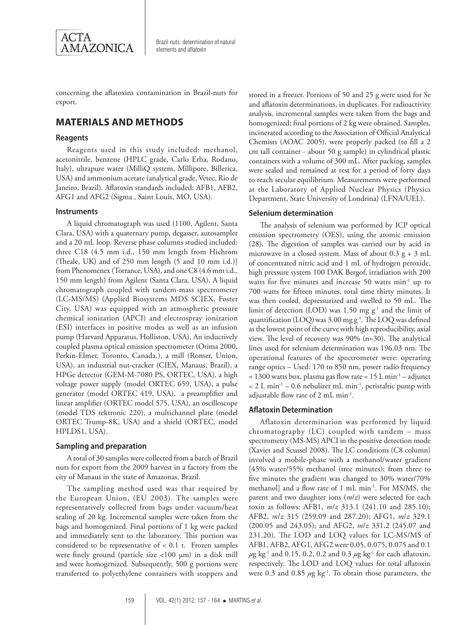

Brazil nuts: determination of natural elements and aflatoxin

concerning the aflatoxins contamination in Brazil-nuts for export.

# **Materials and Methods**

#### **Reagents**

Reagents used in this study included: methanol, acetonitrile, benzene (HPLC grade, Carlo Erba, Rodano, Italy), ultrapure water (MilliQ system, Millipore, Billerica, USA) and ammonium acetate (analytical grade, Vetec, Rio de Janeiro, Brazil). Aflatoxin standards included: AFB1, AFB2, AFG1 and AFG2 (Sigma , Saint Louis, MO, USA).

#### **Instruments**

A liquid chromatograph was used (1100, Agilent, Santa Clara, USA) with a quaternary pump, degasser, autosampler and a 20 mL loop. Reverse phase columns studied included: three C18 (4.5 mm i.d., 150 mm length from Hichrom (Theale, UK) and of 250 mm length (5 and 10 mm i.d.)] from Phenomenex (Torrance, USA), and one C8 (4.6 mm i.d., 150 mm length) from Agilent (Santa Clara, USA). A liquid chromatograph coupled with tandem-mass spectrometer (LC-MS/MS) (Applied Biosystems MDS SCIEX, Foster City, USA) was equipped with an atmospheric pressure chemical ionization (APCI) and electrospray ionization (ESI) interfaces in positive modes as well as an infusion pump (Harvard Apparatus, Holliston, USA). An inductively coupled plasma optical emission spectrometer (Otima 2000, Perkin-Elmer, Toronto, Canada.), a mill (Romer, Union, USA), an industrial nut-cracker (CIEX, Manaus, Brazil), a HPGe detector (GEM-M-7080 PS, ORTEC, USA), a high voltage power supply (model ORTEC 659, USA), a pulse generator (model ORTEC 419, USA), a preamplifier and linear amplifier (ORTEC model 575, USA), an oscilloscope (model TDS tektronic 220), a multichannel plate (model ORTEC Trump-8K, USA) and a shield (ORTEC, model HPLDS1, USA).

#### **Sampling and preparation**

A total of 30 samples were collected from a batch of Brazil nuts for export from the 2009 harvest in a factory from the city of Manaus in the state of Amazonas, Brazil.

The sampling method used was that required by the European Union, (EU 2003). The samples were representatively collected from bags under vacuum/heat sealing of 20 kg. Incremental samples were taken from the bags and homogenized. Final portions of 1 kg were packed and immediately sent to the laboratory. This portion was considered to be representative of  $< 0.1$  t. Frozen samples were finely ground (particle size <100 µm) in a disk mill and were homogenized. Subsequently, 500 g portions were transferred to polyethylene containers with stoppers and

stored in a freezer. Portions of 50 and 25 g were used for Se and aflatoxin determinations, in duplicates. For radioactivity analysis, incremental samples were taken from the bags and homogenized; final portions of 2 kg were obtained. Samples, incinerated according to the Association of Official Analytical Chemists (AOAC 2005), were properly packed (to fill a 2 cm tall container - about 50 g sample) in cylindrical plastic containers with a volume of 300 mL. After packing, samples were sealed and remained at rest for a period of forty days to reach secular equilibrium. Measurements were performed at the Laboratory of Applied Nuclear Physics (Physics Department, State University of Londrina) (LFNA/UEL).

#### **Selenium determination**

The analysis of selenium was performed by ICP optical emission spectrometry (OES), using the atomic emission (28). The digestion of samples was carried out by acid in microwave in a closed system. Mass of about  $0.3 g + 3 mL$ of concentrated nitric acid and 1 mL of hydrogen peroxide, high pressure system 100 DAK Bergof, irradiation with 200 watts for five minutes and increase 50 watts min<sup>-1</sup> up to 700 watts for fifteen minutes, total time thirty minutes. It was then cooled, depressurized and swelled to 50 mL. The limit of detection (LOD) was 1.50 mg g-1 and the limit of quantification (LOQ) was 3.00 mg g<sup>-1</sup>. The LOQ was defined as the lowest point of the curve with high reproducibility, axial view. The level of recovery was 90% (n=30). The analytical lines used for selenium determination was 196.03 nm. The operational features of the spectrometer were: operating range optics – Used: 170 to 850 nm, power radio frequency  $= 1300$  watts box, plasma gas flow rate  $= 15$  L min<sup>-1</sup> – adjunct  $= 2$  L min<sup>-1</sup> – 0.6 nebulizer mL min<sup>-1</sup>, peristaltic pump with adjustable flow rate of 2 mL min-1.

#### **Aflatoxin Determination**

Aflatoxin determination was performed by liquid chromatography (LC) coupled with tandem – mass spectrometry (MS-MS) APCI in the positive detection mode (Xavier and Scussel 2008). The LC conditions (C8 column) involved a mobile-phase with a methanol/water gradient [45% water/55% methanol (tree minutes); from three to five minutes the gradient was changed to 30% water/70% methanol] and a flow rate of 1 mL min-1. For MS/MS, the parent and two daughter ions (*m*/*z*) were selected for each toxin as follows: AFB1, *m*/*z* 313.1 (241.10 and 285.10); AFB2, *m*/*z* 315 (259.09 and 287.20); AFG1, *m*/*z* 329.1 (200.05 and 243.05); and AFG2, *m*/*z* 331.2 (245.07 and 231.20). The LOD and LOQ values for LC-MS/MS of AFB1, AFB2, AFG1, AFG2 were 0.05, 0.075, 0.075 and 0.1 *μ*g kg-1 and 0.15, 0.2, 0.2 and 0.3 *μ*g kg-1 for each aflatoxin, respectively. The LOD and LOQ values for total aflatoxin were 0.3 and 0.85  $\mu$ g kg<sup>-1</sup>. To obtain those parameters, the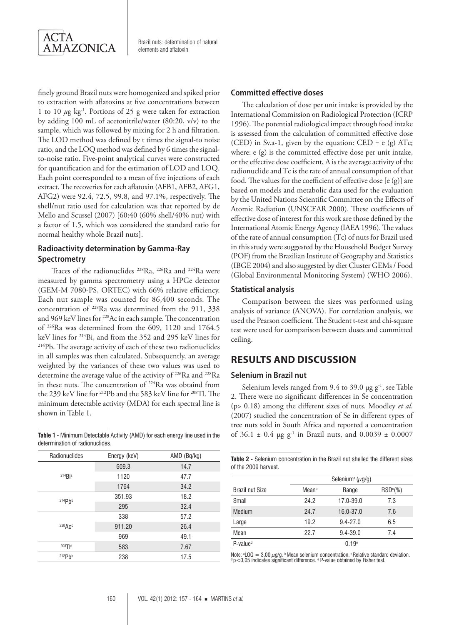

finely ground Brazil nuts were homogenized and spiked prior to extraction with aflatoxins at five concentrations between 1 to 10 *μ*g kg-1. Portions of 25 g were taken for extraction by adding 100 mL of acetonitrile/water (80:20, v/v) to the sample, which was followed by mixing for 2 h and filtration. The LOD method was defined by t times the signal-to noise ratio, and the LOQ method was defined by 6 times the signalto-noise ratio. Five-point analytical curves were constructed for quantification and for the estimation of LOD and LOQ. Each point corresponded to a mean of five injections of each extract. The recoveries for each aflatoxin (AFB1, AFB2, AFG1, AFG2) were 92.4, 72.5, 99.8, and 97.1%, respectively. The shell/nut ratio used for calculation was that reported by de Mello and Scussel (2007) [60:40 (60% shell/40% nut) with a factor of 1.5, which was considered the standard ratio for normal healthy whole Brazil nuts].

#### **Radioactivity determination by Gamma-Ray Spectrometry**

Traces of the radionuclides 228Ra, 226Ra and 224Ra were measured by gamma spectrometry using a HPGe detector (GEM-M 7080-PS, ORTEC) with 66% relative efficiency. Each nut sample was counted for 86,400 seconds. The concentration of 228Ra was determined from the 911, 338 and 969 keV lines for 228Ac in each sample. The concentration of <sup>226</sup>Ra was determined from the 609, 1120 and 1764.5 keV lines for <sup>214</sup>Bi, and from the 352 and 295 keV lines for <sup>214</sup>Pb. The average activity of each of these two radionuclides in all samples was then calculated. Subsequently, an average weighted by the variances of these two values was used to determine the average value of the activity of <sup>226</sup>Ra and <sup>228</sup>Ra in these nuts. The concentration of 224Ra was obtaind from the 239 keV line for 212Pb and the 583 keV line for 208Tl. The minimum detectable activity (MDA) for each spectral line is shown in Table 1.

determination of radionuclides.

| Radionuclides      | Energy (keV) | AMD (Bq/kg) |
|--------------------|--------------|-------------|
|                    | 609.3        | 14.7        |
| $214$ Bia          | 1120         | 47.7        |
|                    | 1764         | 34.2        |
| 214Ph <sub>b</sub> | 351.93       | 18.2        |
|                    | 295          | 32.4        |
| 228ACc             | 338          | 57.2        |
|                    | 911.20       | 26.4        |
|                    | 969          | 49.1        |
| $208$ Tld          | 583          | 7.67        |
| 212Ph <sub>b</sub> | 238          | 17.5        |
|                    |              |             |

#### **Committed effective doses**

The calculation of dose per unit intake is provided by the International Commission on Radiological Protection (ICRP 1996). The potential radiological impact through food intake is assessed from the calculation of committed effective dose (CED) in Sv.a-1, given by the equation: CED = e (g) ATc; where: e (g) is the committed effective dose per unit intake, or the effective dose coefficient, A is the average activity of the radionuclide and Tc is the rate of annual consumption of that food. The values for the coefficient of effective dose [e (g)] are based on models and metabolic data used for the evaluation by the United Nations Scientific Committee on the Effects of Atomic Radiation (UNSCEAR 2000). These coefficients of effective dose of interest for this work are those defined by the International Atomic Energy Agency (IAEA 1996). The values of the rate of annual consumption (Tc) of nuts for Brazil used in this study were suggested by the Household Budget Survey (POF) from the Brazilian Institute of Geography and Statistics (IBGE 2004) and also suggested by diet Cluster GEMs / Food (Global Environmental Monitoring System) (WHO 2006).

#### **Statistical analysis**

Comparison between the sizes was performed using analysis of variance (ANOVA). For correlation analysis, we used the Pearson coefficient. The Student t-test and chi-square test were used for comparison between doses and committed ceiling.

# **Results and discussion**

#### **Selenium in Brazil nut**

Selenium levels ranged from 9.4 to 39.0  $\mu$ g g<sup>-1</sup>, see Table 2. There were no significant differences in Se concentration (p> 0.18) among the different sizes of nuts. Moodley *et al*. (2007) studied the concentration of Se in different types of tree nuts sold in South Africa and reported a concentration **Table 1** - Minimum Detectable Activity (AMD) for each energy line used in the of  $36.1 \pm 0.4$  µg g<sup>-1</sup> in Brazil nuts, and  $0.0039 \pm 0.0007$ 

**Table 2 -** Selenium concentration in the Brazil nut shelled the different sizes of the 2009 harvest.

|                        | Selenium <sup>a</sup> ( $\mu$ g/g) |               |                      |  |  |
|------------------------|------------------------------------|---------------|----------------------|--|--|
| <b>Brazil nut Size</b> | Meanb                              | Range         | RSD <sup>c</sup> (%) |  |  |
| Small                  | 24.2                               | $17.0 - 39.0$ | 7.3                  |  |  |
| Medium                 | 24.7                               | $16.0 - 37.0$ | 7.6                  |  |  |
| Large                  | 19.2                               | $9.4 - 27.0$  | 6.5                  |  |  |
| Mean                   | 22.7                               | $9.4 - 39.0$  | 7.4                  |  |  |
| $P-valued$             |                                    | 0.19e         |                      |  |  |

Note: a LOQ = 3,00 µg/g. b Mean selenium concentration. c Relative standard deviation. d p<0,05 indicates significant difference. e P-value obtained by Fisher test.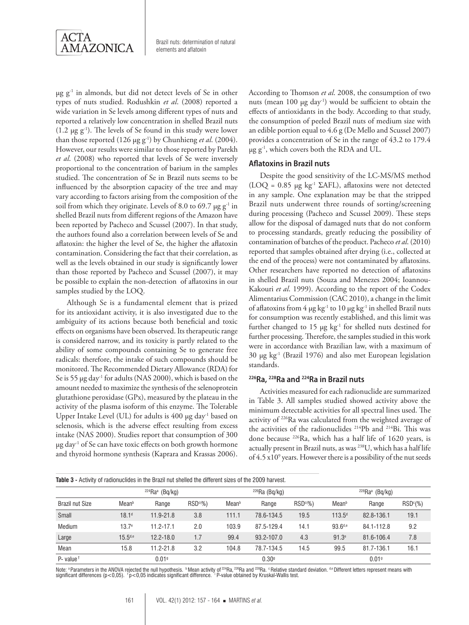

 $\mu$ g g<sup>-1</sup> in almonds, but did not detect levels of Se in other types of nuts studied. Rodushkin *et al*. (2008) reported a wide variation in Se levels among different types of nuts and reported a relatively low concentration in shelled Brazil nuts  $(1.2 \mu g g^{-1})$ . The levels of Se found in this study were lower than those reported (126 µg g-1) by Chunhieng *et al*. (2004). However, our results were similar to those reported by Parekh *et al*. (2008) who reported that levels of Se were inversely proportional to the concentration of barium in the samples studied. The concentration of Se in Brazil nuts seems to be influenced by the absorption capacity of the tree and may vary according to factors arising from the composition of the soil from which they originate. Levels of 8.0 to 69.7  $\mu$ g g<sup>-1</sup> in shelled Brazil nuts from different regions of the Amazon have been reported by Pacheco and Scussel (2007). In that study, the authors found also a correlation between levels of Se and aflatoxin: the higher the level of Se, the higher the aflatoxin contamination. Considering the fact that their correlation, as well as the levels obtained in our study is significantly lower than those reported by Pacheco and Scussel (2007), it may be possible to explain the non-detection of aflatoxins in our samples studied by the LOQ.

Although Se is a fundamental element that is prized for its antioxidant activity, it is also investigated due to the ambiguity of its actions because both beneficial and toxic effects on organisms have been observed. Its therapeutic range is considered narrow, and its toxicity is partly related to the ability of some compounds containing Se to generate free radicals: therefore, the intake of such compounds should be monitored. The Recommended Dietary Allowance (RDA) for Se is 55 µg day<sup>-1</sup> for adults (NAS 2000), which is based on the amount needed to maximize the synthesis of the selenoprotein glutathione peroxidase (GPx), measured by the plateau in the activity of the plasma isoform of this enzyme. The Tolerable Upper Intake Level (UL) for adults is 400 µg day<sup>-1</sup> based on selenosis, which is the adverse effect resulting from excess intake (NAS 2000). Studies report that consumption of 300 µg day-1 of Se can have toxic effects on both growth hormone and thyroid hormone synthesis (Kaprara and Krassas 2006).

According to Thomson *et al*. 2008, the consumption of two nuts (mean 100 μg day<sup>-1</sup>) would be sufficient to obtain the effects of antioxidants in the body. According to that study, the consumption of peeled Brazil nuts of medium size with an edible portion equal to 4.6 g (De Mello and Scussel 2007) provides a concentration of Se in the range of 43.2 to 179.4 µg g-1, which covers both the RDA and UL.

#### **Aflatoxins in Brazil nuts**

Despite the good sensitivity of the LC-MS/MS method (LOQ =  $0.85 \mu g$  kg<sup>-1</sup> ΣAFL), aflatoxins were not detected in any sample. One explanation may be that the stripped Brazil nuts underwent three rounds of sorting/screening during processing (Pacheco and Scussel 2009). These steps allow for the disposal of damaged nuts that do not conform to processing standards, greatly reducing the possibility of contamination of batches of the product. Pacheco *et al*. (2010) reported that samples obtained after drying (i.e., collected at the end of the process) were not contaminated by aflatoxins. Other researchers have reported no detection of aflatoxins in shelled Brazil nuts (Souza and Menezes 2004; Ioannou-Kakouri *et al*. 1999). According to the report of the Codex Alimentarius Commission (CAC 2010), a change in the limit of aflatoxins from  $4 \mu g kg^{-1}$  to  $10 \mu g kg^{-1}$  in shelled Brazil nuts for consumption was recently established, and this limit was further changed to 15 µg kg-1 for shelled nuts destined for further processing. Therefore, the samples studied in this work were in accordance with Brazilian law, with a maximum of 30 µg kg-1 (Brazil 1976) and also met European legislation standards.

#### **226Ra, 228Ra and 224Ra in Brazil nuts**

Activities measured for each radionuclide are summarized in Table 3. All samples studied showed activity above the minimum detectable activities for all spectral lines used. The activity of 226Ra was calculated from the weighted average of the activities of the radionuclides 214Pb and 214Bi. This was done because 226Ra, which has a half life of 1620 years, is actually present in Brazil nuts, as was 238U, which has a half life of 4.5 x10<sup>9</sup> years. However there is a possibility of the nut seeds

| <b>TADIC 0 -</b> ACTIVITÀ OI TRAIDITIONIDES IN LITE DIRENTIUL SITEIRE UNE QUITEICHE SIZES OF THE COOP HAT VEST. |                   |                   |            |       |                  |                      |                   |                               |                      |  |
|-----------------------------------------------------------------------------------------------------------------|-------------------|-------------------|------------|-------|------------------|----------------------|-------------------|-------------------------------|----------------------|--|
| <b>Brazil nut Size</b>                                                                                          |                   | $224Ra^a$ (Bq/kg) |            |       | $226$ Ra (Bq/kg) |                      |                   | $228$ Ra <sup>a</sup> (Bq/kg) |                      |  |
|                                                                                                                 | Meanb             | Range             | $RSDc(\%)$ | Meanb | Range            | RSD <sup>c</sup> (%) | Meanb             | Range                         | RSD <sup>c</sup> (%) |  |
| Small                                                                                                           | 18.1 <sup>d</sup> | $11.9 - 21.8$     | 3.8        | 111.1 | 78.6-134.5       | 19.5                 | $113.5^{d}$       | 82.8-136.1                    | 19.1                 |  |
| Medium                                                                                                          | $13.7^e$          | $11.2 - 17.1$     | 2.0        | 103.9 | 87.5-129.4       | 14.1                 | $93.6^{d,e}$      | 84.1-112.8                    | 9.2                  |  |
| Large                                                                                                           | $15.5^{d,e}$      | $12.2 - 18.0$     | 1.7        | 99.4  | 93.2-107.0       | 4.3                  | 91.3 <sup>e</sup> | 81.6-106.4                    | 7.8                  |  |
| Mean                                                                                                            | 15.8              | $11.2 - 21.8$     | 3.2        | 104.8 | 78.7-134.5       | 14.5                 | 99.5              | 81.7-136.1                    | 16.1                 |  |
| P- value <sup>f</sup>                                                                                           |                   | 0.019             |            |       | 0.309            |                      |                   | 0.019                         |                      |  |

**Table 3 -** Activity of radionuclides in the Brazil nut shelled the different sizes of the 2009 harvest.

Note: ªParameters in the ANOVA rejected the null hypothesis. ®Mean activity of <sup>z24</sup>Ra, <sup>226</sup>Ra and <sup>z28</sup>Ra. ºRelative standard deviation. ª®Different letters represent means with<br>significant differences (p<0,05). †p<0,05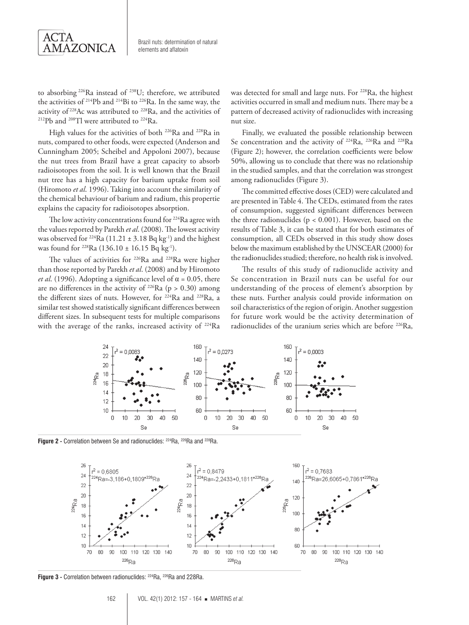

to absorbing 226Ra instead of 238U; therefore, we attributed the activities of 214Pb and 214Bi to 226Ra. In the same way, the activity of 228Ac was attributed to 228Ra, and the activities of 212Pb and 208Tl were attributed to 224Ra.

High values for the activities of both 226Ra and 228Ra in nuts, compared to other foods, were expected (Anderson and Cunningham 2005; Scheibel and Appoloni 2007), because the nut trees from Brazil have a great capacity to absorb radioisotopes from the soil. It is well known that the Brazil nut tree has a high capacity for barium uptake from soil (Hiromoto *et al*. 1996). Taking into account the similarity of the chemical behaviour of barium and radium, this propertie explains the capacity for radioisotopes absorption.

The low activity concentrations found for <sup>224</sup>Ra agree with the values reported by Parekh *et al*. (2008). The lowest activity was observed for <sup>224</sup>Ra (11.21  $\pm$  3.18 Bq kg<sup>-1</sup>) and the highest was found for <sup>228</sup>Ra (136.10 ± 16.15 Bq kg<sup>-1</sup>).

The values of activities for <sup>226</sup>Ra and <sup>228</sup>Ra were higher than those reported by Parekh *et al*. (2008) and by Hiromoto *et al.* (1996). Adopting a significance level of  $\alpha$  = 0.05, there are no differences in the activity of <sup>226</sup>Ra ( $p > 0.30$ ) among the different sizes of nuts. However, for 224Ra and 228Ra, a similar test showed statistically significant differences between different sizes. In subsequent tests for multiple comparisons with the average of the ranks, increased activity of <sup>224</sup>Ra was detected for small and large nuts. For <sup>228</sup>Ra, the highest activities occurred in small and medium nuts. There may be a pattern of decreased activity of radionuclides with increasing nut size.

Finally, we evaluated the possible relationship between Se concentration and the activity of 224Ra, 226Ra and 228Ra (Figure 2); however, the correlation coefficients were below 50%, allowing us to conclude that there was no relationship in the studied samples, and that the correlation was strongest among radionuclides (Figure 3).

The committed effective doses (CED) were calculated and are presented in Table 4. The CEDs, estimated from the rates of consumption, suggested significant differences between the three radionuclides ( $p < 0.001$ ). However, based on the results of Table 3, it can be stated that for both estimates of consumption, all CEDs observed in this study show doses below the maximum established by the UNSCEAR (2000) for the radionuclides studied; therefore, no health risk is involved.

The results of this study of radionuclide activity and Se concentration in Brazil nuts can be useful for our understanding of the process of element's absorption by these nuts. Further analysis could provide information on soil characteristics of the region of origin. Another suggestion for future work would be the activity determination of radionuclides of the uranium series which are before <sup>226</sup>Ra,



**Figure 2 -** Correlation between Se and radionuclides: <sup>224</sup>Ra, <sup>226</sup>Ra and <sup>228</sup>Ra



Figure 3 - Correlation between radionuclides: <sup>224</sup>Ra, <sup>226</sup>Ra and 228Ra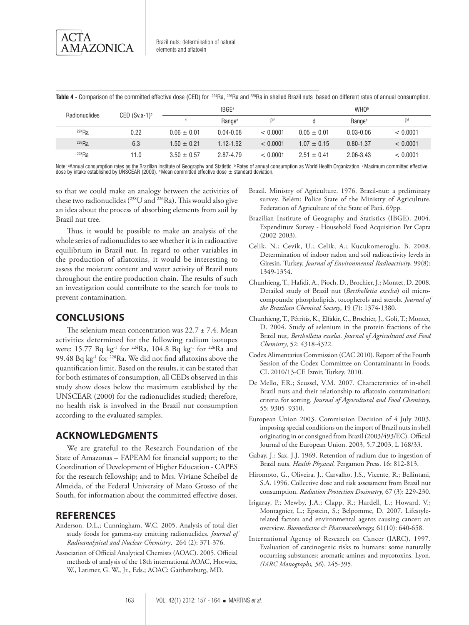

Table 4 - Comparison of the committed effective dose (CED) for <sup>224</sup>Ra, <sup>226</sup>Ra and <sup>228</sup>Ra in shelled Brazil nuts based on different rates of annual consumption.

| Radionuclides<br>CED $(Sv.a-1)^c$ |      | <b>IBGE</b> <sup>a</sup> |                    |          | <b>WHO</b> <sup>b</sup> |                    |          |
|-----------------------------------|------|--------------------------|--------------------|----------|-------------------------|--------------------|----------|
|                                   |      |                          | Range <sup>e</sup> | Df       |                         | Range <sup>e</sup> | Df       |
| 224Ra                             | 0.22 | $0.06 \pm 0.01$          | $0.04 - 0.08$      | < 0.0001 | $0.05 + 0.01$           | $0.03 - 0.06$      | < 0.0001 |
| $226$ Ra                          | 6.3  | $1.50 \pm 0.21$          | $1.12 - 1.92$      | < 0.0001 | $1.07 \pm 0.15$         | $0.80 - 1.37$      | < 0.0001 |
| 228Ra                             | 11.0 | $3.50 \pm 0.57$          | 2.87-4.79          | < 0.0001 | $2.51 \pm 0.41$         | 2.06-3.43          | < 0.0001 |

Note: ªAnnual consumption rates as the Brazilian Institute of Geography and Statistic. ÞRates of annual consumption as World Health Organization. ºMaximum committed effective dose by intake established by UNSCEAR (2000). <sup>d</sup> Mean committed effective dose  $\pm$  standard deviation.

so that we could make an analogy between the activities of these two radionuclides ( $^{238}$ U and  $^{226}$ Ra). This would also give an idea about the process of absorbing elements from soil by Brazil nut tree.

Thus, it would be possible to make an analysis of the whole series of radionuclides to see whether it is in radioactive equilibrium in Brazil nut. In regard to other variables in the production of aflatoxins, it would be interesting to assess the moisture content and water activity of Brazil nuts throughout the entire production chain. The results of such an investigation could contribute to the search for tools to prevent contamination.

# **Conclusions**

The selenium mean concentration was  $22.7 \pm 7.4$ . Mean activities determined for the following radium isotopes were: 15.77 Bq kg<sup>-1</sup> for <sup>224</sup>Ra, 104.8 Bq kg<sup>-1</sup> for <sup>226</sup>Ra and 99.48 Bq kg<sup>-1</sup> for <sup>228</sup>Ra. We did not find aflatoxins above the quantification limit. Based on the results, it can be stated that for both estimates of consumption, all CEDs observed in this study show doses below the maximum established by the UNSCEAR (2000) for the radionuclides studied; therefore, no health risk is involved in the Brazil nut consumption according to the evaluated samples.

# **Acknowledgments**

We are grateful to the Research Foundation of the State of Amazonas – FAPEAM for financial support; to the Coordination of Development of Higher Education - CAPES for the research fellowship; and to Mrs. Viviane Scheibel de Almeida, of the Federal University of Mato Grosso of the South, for information about the committed effective doses.

# **references**

- Anderson, D.L.; Cunningham, W.C. 2005. Analysis of total diet study foods for gamma-ray emitting radionuclides*. Journal of Radioanalytical and Nuclear Chemistry*, 264 (2): 371-376.
- Association of Official Analytical Chemists (AOAC). 2005. Official methods of analysis of the 18th international AOAC, Horwitz, W., Latimer, G. W., Jr., Eds.; AOAC: Gaithersburg, MD.
- Brazil. Ministry of Agriculture. 1976. Brazil-nut: a preliminary survey. Belém: Police State of the Ministry of Agriculture. Federation of Agriculture of the State of Pará. 69pp.
- Brazilian Institute of Geography and Statistics (IBGE). 2004. Expenditure Survey - Household Food Acquisition Per Capta (2002-2003).
- Celik, N.; Cevik, U.; Celik, A.; Kucukomeroglu, B. 2008. Determination of indoor radon and soil radioactivity levels in Giresin, Turkey. *Journal of Environmental Radioactivity*, 99(8): 1349-1354.
- Chunhieng, T., Hafidi, A., Pioch, D., Brochier, J.; Montet, D. 2008. Detailed study of Brazil nut (*Bertholletia excelsa*) oil microcompounds: phospholipids, tocopherols and sterols. *Journal of the Brazilian Chemical Society*, 19 (7): 1374-1380.
- Chunhieng, T., Pétritis, K., Elfakir, C., Brochier, J., Goli, T.; Montet, D. 2004. Study of selenium in the protein fractions of the Brazil nut, *Bertholletia excelsa*. *Journal of Agricultural and Food Chemistry*, 52: 4318-4322.
- Codex Alimentarius Commission (CAC 2010). Report of the Fourth Session of the Codex Committee on Contaminants in Foods. CL 2010/13-CF. Izmir, Turkey. 2010.
- De Mello, F.R.; Scussel, V.M. 2007. Characteristics of in-shell Brazil nuts and their relationship to aflatoxin contamination: criteria for sorting. *Journal of Agricultural and Food Chemistry*, 55: 9305–9310.
- European Union 2003. Commission Decision of 4 July 2003, imposing special conditions on the import of Brazil nuts in shell originating in or consigned from Brazil (2003/493/EC). Official Journal of the European Union. 2003, 5.7.2003, L 168/33.
- Gabay, J.; Sax, J.J. 1969. Retention of radium due to ingestion of Brazil nuts. *Health Physical.* Pergamon Press. 16: 812-813.
- Hiromoto, G., Oliveira, J., Carvalho, J.S., Vicente, R.; Bellintani, S.A. 1996. Collective dose and risk assessment from Brazil nut consumption. *Radiation Protection Dosimetry*, 67 (3): 229-230.
- Irigaray, P.; Mewby, J.A.; Clapp, R.; Hardell, L.; Howard, V.; Montagnier, L.; Epstein, S.; Belpomme, D. 2007. Lifestylerelated factors and environmental agents causing cancer: an overview. *Biomedicine & Pharmacotherapy,* 61(10): 640-658.
- International Agency of Research on Cancer (IARC). 1997. Evaluation of carcinogenic risks to humans: some naturally occurring substances: aromatic amines and mycotoxins. Lyon. *(IARC Monographs, 56*). 245-395.